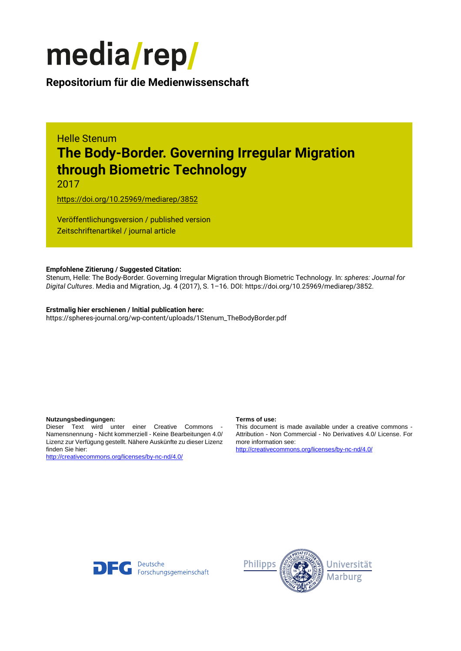

**Repositorium für die [Medienwissenschaft](https://mediarep.org)**

# Helle Stenum **The Body-Border. Governing Irregular Migration through Biometric Technology**

2017

<https://doi.org/10.25969/mediarep/3852>

Veröffentlichungsversion / published version Zeitschriftenartikel / journal article

#### **Empfohlene Zitierung / Suggested Citation:**

Stenum, Helle: The Body-Border. Governing Irregular Migration through Biometric Technology. In: *spheres: Journal for Digital Cultures*. Media and Migration, Jg. 4 (2017), S. 1–16. DOI: https://doi.org/10.25969/mediarep/3852.

#### **Erstmalig hier erschienen / Initial publication here:** https://spheres-journal.org/wp-content/uploads/1Stenum\_TheBodyBorder.pdf

#### **Nutzungsbedingungen: Terms of use:**

Dieser Text wird unter einer Creative Commons - Namensnennung - Nicht kommerziell - Keine Bearbeitungen 4.0/ Lizenz zur Verfügung gestellt. Nähere Auskünfte zu dieser Lizenz finden Sie hier:

<http://creativecommons.org/licenses/by-nc-nd/4.0/>

This document is made available under a creative commons - Attribution - Non Commercial - No Derivatives 4.0/ License. For more information see:

<http://creativecommons.org/licenses/by-nc-nd/4.0/>



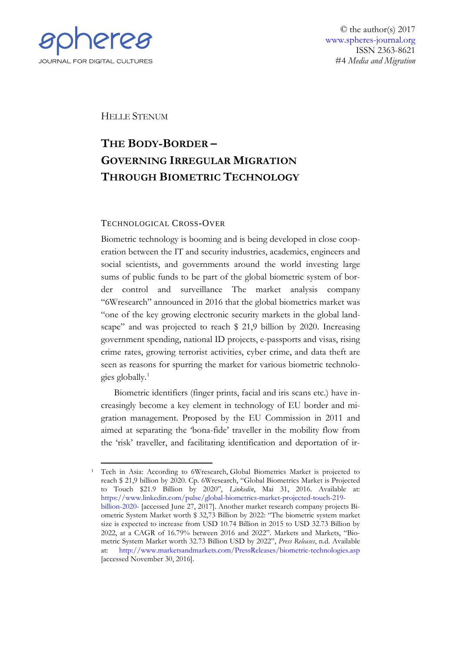

© the author(s) 2017 [www.spheres-journal.org](http://www.spheres-journal.org/) ISSN 2363-8621 #4 *Media and Migration*

HELLE STENUM

# **THE BODY-BORDER – GOVERNING IRREGULAR MIGRATION THROUGH BIOMETRIC TECHNOLOGY**

## TECHNOLOGICAL CROSS-OVER

Biometric technology is booming and is being developed in close cooperation between the IT and security industries, academics, engineers and social scientists, and governments around the world investing large sums of public funds to be part of the global biometric system of border control and surveillance The market analysis company "6Wresearch" announced in 2016 that the global biometrics market was "one of the key growing electronic security markets in the global landscape" and was projected to reach \$ 21,9 billion by 2020. Increasing government spending, national ID projects, e-passports and visas, rising crime rates, growing terrorist activities, cyber crime, and data theft are seen as reasons for spurring the market for various biometric technologies globally. [1](#page-1-0)

Biometric identifiers (finger prints, facial and iris scans etc.) have increasingly become a key element in technology of EU border and migration management. Proposed by the EU Commission in 2011 and aimed at separating the 'bona-fide' traveller in the mobility flow from the 'risk' traveller, and facilitating identification and deportation of ir-

<span id="page-1-0"></span><sup>-</sup><sup>1</sup> Tech in Asia: According to 6Wresearch, Global Biometrics Market is projected to reach \$ 21,9 billion by 2020. Cp. 6Wresearch, "Global Biometrics Market is Projected to Touch \$21.9 Billion by 2020", *Linkedin*, Mai 31, 2016. Available at: [https://www.linkedin.com/pulse/global-biometrics-market-projected-touch-219](https://www.linkedin.com/pulse/global-biometrics-market-projected-touch-219-billion-2020-) [billion-2020-](https://www.linkedin.com/pulse/global-biometrics-market-projected-touch-219-billion-2020-) [accessed June 27, 2017]. Another market research company projects Biometric System Market worth \$ 32,73 Billion by 2022: "The biometric system market size is expected to increase from USD 10.74 Billion in 2015 to USD 32.73 Billion by 2022, at a CAGR of 16.79% between 2016 and 2022". Markets and Markets, "Biometric System Market worth 32.73 Billion USD by 2022", *Press Releases*, n.d*.* Available at: <http://www.marketsandmarkets.com/PressReleases/biometric-technologies.asp> [accessed November 30, 2016].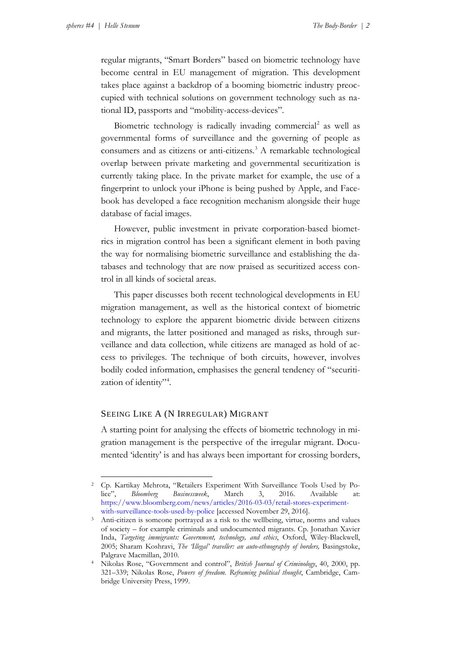regular migrants, "Smart Borders" based on biometric technology have become central in EU management of migration. This development takes place against a backdrop of a booming biometric industry preoccupied with technical solutions on government technology such as national ID, passports and "mobility-access-devices".

Biometric technology is radically invading commercial<sup>[2](#page-2-0)</sup> as well as governmental forms of surveillance and the governing of people as consumers and as citizens or anti-citizens.<sup>[3](#page-2-1)</sup> A remarkable technological overlap between private marketing and governmental securitization is currently taking place. In the private market for example, the use of a fingerprint to unlock your iPhone is being pushed by Apple, and Facebook has developed a face recognition mechanism alongside their huge database of facial images.

However, public investment in private corporation-based biometrics in migration control has been a significant element in both paving the way for normalising biometric surveillance and establishing the databases and technology that are now praised as securitized access control in all kinds of societal areas.

This paper discusses both recent technological developments in EU migration management, as well as the historical context of biometric technology to explore the apparent biometric divide between citizens and migrants, the latter positioned and managed as risks, through surveillance and data collection, while citizens are managed as hold of access to privileges. The technique of both circuits, however, involves bodily coded information, emphasises the general tendency of "securitization of identity"<sup>4</sup>.

#### SEEING LIKE A (N IRREGULAR) MIGRANT

A starting point for analysing the effects of biometric technology in migration management is the perspective of the irregular migrant. Documented 'identity' is and has always been important for crossing borders,

<span id="page-2-0"></span><sup>2</sup> Cp. Kartikay Mehrota, "Retailers Experiment With Surveillance Tools Used by Police", *Bloomberg Businessweek*, March 3, 2016. Available at: [https://www.bloomberg.com/news/articles/2016-03-03/retail-stores-experiment](https://www.bloomberg.com/news/articles/2016-03-03/retail-stores-experiment-with-surveillance-tools-used-by-police)[with-surveillance-tools-used-by-police](https://www.bloomberg.com/news/articles/2016-03-03/retail-stores-experiment-with-surveillance-tools-used-by-police) [accessed November 29, 2016].

<span id="page-2-1"></span><sup>&</sup>lt;sup>3</sup> Anti-citizen is someone portrayed as a risk to the wellbeing, virtue, norms and values of society – for example criminals and undocumented migrants. Cp. Jonathan Xavier Inda, *Targeting immigrants: Government, technology, and ethics*, Oxford, Wiley-Blackwell, 2005; Sharam Koshravi, *The 'Illegal' traveller: an auto-ethnography of borders,* Basingstoke, Palgrave Macmillan, 2010. 4 Nikolas Rose, "Government and control", *British Journal of Criminology*, 40, 2000, pp.

<span id="page-2-2"></span><sup>321–339;</sup> Nikolas Rose, *Powers of freedom. Reframing political thought*, Cambridge, Cambridge University Press, 1999.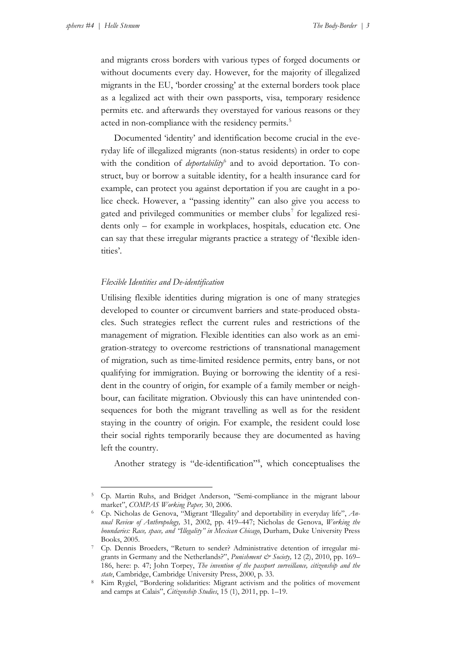and migrants cross borders with various types of forged documents or without documents every day. However, for the majority of illegalized migrants in the EU, 'border crossing' at the external borders took place as a legalized act with their own passports, visa, temporary residence permits etc. and afterwards they overstayed for various reasons or they acted in non-compliance with the residency permits.<sup>[5](#page-3-0)</sup>

Documented 'identity' and identification become crucial in the everyday life of illegalized migrants (non-status residents) in order to cope with the condition of *deportability*<sup>[6](#page-3-1)</sup> and to avoid deportation. To construct, buy or borrow a suitable identity, for a health insurance card for example, can protect you against deportation if you are caught in a police check. However, a "passing identity" can also give you access to gated and privileged communities or member clubs<sup>[7](#page-3-2)</sup> for legalized residents only – for example in workplaces, hospitals, education etc. One can say that these irregular migrants practice a strategy of 'flexible identities'.

#### *Flexible Identities and De-identification*

Utilising flexible identities during migration is one of many strategies developed to counter or circumvent barriers and state-produced obstacles. Such strategies reflect the current rules and restrictions of the management of migration. Flexible identities can also work as an emigration-strategy to overcome restrictions of transnational management of migration*,* such as time-limited residence permits, entry bans, or not qualifying for immigration. Buying or borrowing the identity of a resident in the country of origin, for example of a family member or neighbour, can facilitate migration. Obviously this can have unintended consequences for both the migrant travelling as well as for the resident staying in the country of origin. For example, the resident could lose their social rights temporarily because they are documented as having left the country.

Another strategy is "de-identification"[8](#page-3-3) , which conceptualises the

<span id="page-3-0"></span><sup>5</sup> Cp. Martin Ruhs, and Bridget Anderson, "Semi-compliance in the migrant labour market", *COMPAS Working Paper,* 30, 2006.

<span id="page-3-1"></span><sup>6</sup> Cp. Nicholas de Genova, "Migrant 'Illegality' and deportability in everyday life", *Annual Review of Anthropology,* 31, 2002, pp. 419–447; Nicholas de Genova, *Working the boundaries: Race, space, and "Illegality" in Mexican Chicago*, Durham, Duke University Press Books, 2005.

<span id="page-3-2"></span><sup>7</sup> Cp. Dennis Broeders, "Return to sender? Administrative detention of irregular migrants in Germany and the Netherlands?", *Punishment & Society*, 12 (2), 2010, pp. 169– 186, here: p. 47; John Torpey, *The invention of the passport surveillance, citizenship and the state*, Cambridge, Cambridge University Press, 2000, p. 33.

<span id="page-3-3"></span><sup>8</sup> Kim Rygiel, "Bordering solidarities: Migrant activism and the politics of movement and camps at Calais", *Citizenship Studies*, 15 (1), 2011, pp. 1–19.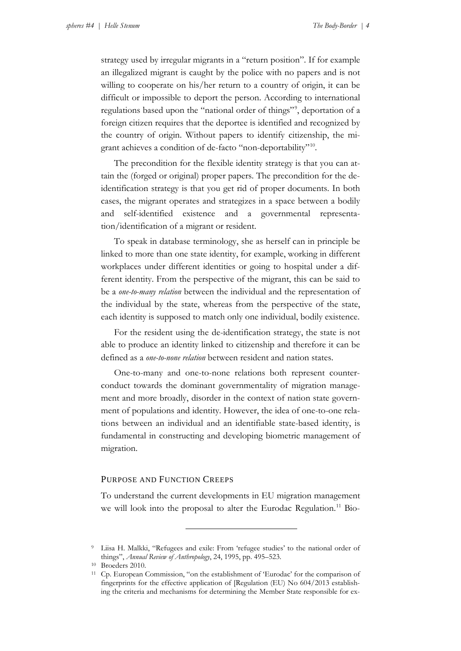strategy used by irregular migrants in a "return position". If for example an illegalized migrant is caught by the police with no papers and is not willing to cooperate on his/her return to a country of origin, it can be difficult or impossible to deport the person. According to international regulations based upon the "national order of things"[9](#page-4-0) , deportation of a foreign citizen requires that the deportee is identified and recognized by the country of origin. Without papers to identify citizenship, the migrant achieves a condition of de-facto "non-deportability"[10.](#page-4-1)

The precondition for the flexible identity strategy is that you can attain the (forged or original) proper papers. The precondition for the deidentification strategy is that you get rid of proper documents. In both cases, the migrant operates and strategizes in a space between a bodily and self-identified existence and a governmental representation/identification of a migrant or resident.

To speak in database terminology, she as herself can in principle be linked to more than one state identity, for example, working in different workplaces under different identities or going to hospital under a different identity. From the perspective of the migrant, this can be said to be a *one-to-many relation* between the individual and the representation of the individual by the state, whereas from the perspective of the state, each identity is supposed to match only one individual, bodily existence.

For the resident using the de-identification strategy, the state is not able to produce an identity linked to citizenship and therefore it can be defined as a *one-to-none relation* between resident and nation states.

One-to-many and one-to-none relations both represent counterconduct towards the dominant governmentality of migration management and more broadly, disorder in the context of nation state government of populations and identity. However, the idea of one-to-one relations between an individual and an identifiable state-based identity, is fundamental in constructing and developing biometric management of migration.

#### PURPOSE AND FUNCTION CREEPS

-

To understand the current developments in EU migration management we will look into the proposal to alter the Eurodac Regulation.<sup>[11](#page-4-2)</sup> Bio-

<span id="page-4-0"></span>Liisa H. Malkki, "Refugees and exile: From 'refugee studies' to the national order of things", *Annual Review of Anthropology*, 24, 1995, pp. 495–523. 10 Broeders 2010.

<span id="page-4-2"></span><span id="page-4-1"></span><sup>11</sup> Cp. European Commission, "on the establishment of 'Eurodac' for the comparison of fingerprints for the effective application of [Regulation (EU) No 604/2013 establishing the criteria and mechanisms for determining the Member State responsible for ex-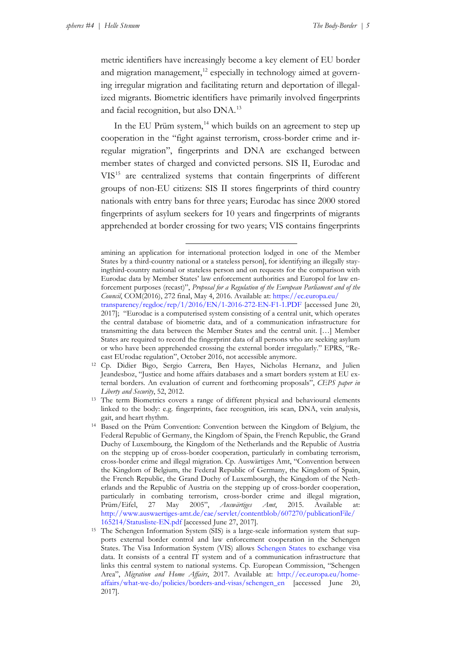metric identifiers have increasingly become a key element of EU border and migration management, $^{12}$  $^{12}$  $^{12}$  especially in technology aimed at governing irregular migration and facilitating return and deportation of illegalized migrants. Biometric identifiers have primarily involved fingerprints and facial recognition, but also DNA.[13](#page-5-1)

In the EU Prüm system, $14$  which builds on an agreement to step up cooperation in the "fight against terrorism, cross-border crime and irregular migration", fingerprints and DNA are exchanged between member states of charged and convicted persons. SIS II, Eurodac and VIS[15](#page-5-3) are centralized systems that contain fingerprints of different groups of non-EU citizens: SIS II stores fingerprints of third country nationals with entry bans for three years; Eurodac has since 2000 stored fingerprints of asylum seekers for 10 years and fingerprints of migrants apprehended at border crossing for two years; VIS contains fingerprints

amining an application for international protection lodged in one of the Member States by a third-country national or a stateless person], for identifying an illegally stayingthird-country national or stateless person and on requests for the comparison with Eurodac data by Member States' law enforcement authorities and Europol for law enforcement purposes (recast)", *Proposal for a Regulation of the European Parliament and of the Council*, COM(2016), 272 final, May 4, 2016. Available at: [https://ec.europa.eu/](https://ec.europa.eu/%0btransparency/regdoc/rep/1/2016/EN/1-2016-272-EN-F1-1.PDF) [transparency/regdoc/rep/1/2016/EN/1-2016-272-EN-F1-1.PDF](https://ec.europa.eu/%0btransparency/regdoc/rep/1/2016/EN/1-2016-272-EN-F1-1.PDF) [accessed June 20,

<sup>2017];</sup> "Eurodac is a computerised system consisting of a central unit, which operates the central database of biometric data, and of a communication infrastructure for transmitting the data between the Member States and the central unit. […] Member States are required to record the fingerprint data of all persons who are seeking asylum or who have been apprehended crossing the external border irregularly." EPRS, "Recast EUrodac regulation", October 2016, not accessible anymore.

<span id="page-5-0"></span><sup>12</sup> Cp. Didier Bigo, Sergio Carrera, Ben Hayes, Nicholas Hernanz, and Julien Jeandesboz, "Justice and home affairs databases and a smart borders system at EU external borders. An evaluation of current and forthcoming proposals", *CEPS paper in Liberty and Security*, 52, 2012.

<span id="page-5-1"></span><sup>13</sup> The term Biometrics covers a range of different physical and behavioural elements linked to the body: e.g. fingerprints, face recognition, iris scan, DNA, vein analysis, gait, and heart rhythm.

<span id="page-5-2"></span><sup>14</sup> Based on the Prüm Convention: Convention between the Kingdom of Belgium, the Federal Republic of Germany, the Kingdom of Spain, the French Republic, the Grand Duchy of Luxembourg, the Kingdom of the Netherlands and the Republic of Austria on the stepping up of cross-border cooperation, particularly in combating terrorism, cross-border crime and illegal migration. Cp. Auswärtiges Amt, "Convention between the Kingdom of Belgium, the Federal Republic of Germany, the Kingdom of Spain, the French Republic, the Grand Duchy of Luxembourgh, the Kingdom of the Netherlands and the Republic of Austria on the stepping up of cross-border cooperation, particularly in combating terrorism, cross-border crime and illegal migration, Prüm/Eifel, 27 May 2005", *Auswärtiges Amt*, 2015. Available at: http://www.auswaertiges-amt.de/cae/servlet/contentblob/607270/publicationFile/ 165214/Statusliste-EN.pdf [accessed June 27, 2017].

<span id="page-5-3"></span><sup>15</sup> The Schengen Information System (SIS) is a large-scale information system that supports external border control and law enforcement cooperation in the Schengen States. The Visa Information System (VIS) allows Schengen States to exchange visa data. It consists of a central IT system and of a communication infrastructure that links this central system to national systems. Cp. European Commission, "Schengen Area", *Migration and Home Affairs*, 2017. Available at: [http://ec.europa.eu/home](http://ec.europa.eu/home-affairs/what-we-do/policies/borders-and-visas/schengen_en)[affairs/what-we-do/policies/borders-and-visas/schengen\\_en](http://ec.europa.eu/home-affairs/what-we-do/policies/borders-and-visas/schengen_en) [accessed June 20, 2017].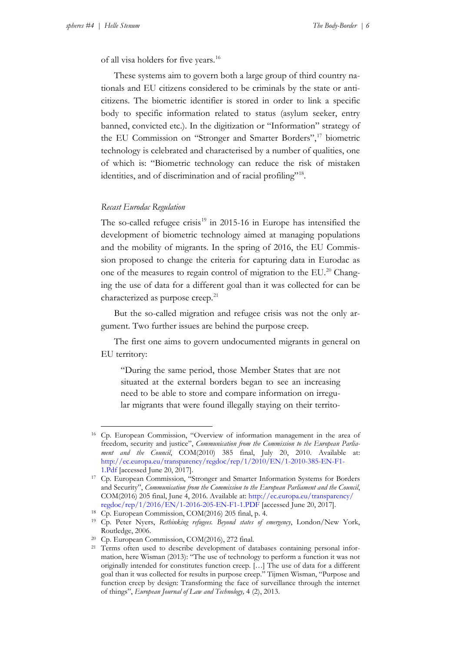of all visa holders for five years.<sup>[16](#page-6-0)</sup>

These systems aim to govern both a large group of third country nationals and EU citizens considered to be criminals by the state or anticitizens. The biometric identifier is stored in order to link a specific body to specific information related to status (asylum seeker, entry banned, convicted etc.). In the digitization or "Information" strategy of the EU Commission on "Stronger and Smarter Borders", [17](#page-6-1) biometric technology is celebrated and characterised by a number of qualities, one of which is: "Biometric technology can reduce the risk of mistaken identities, and of discrimination and of racial profiling"<sup>18</sup>.

#### *Recast Eurodac Regulation*

The so-called refugee crisis $19$  in 2015-16 in Europe has intensified the development of biometric technology aimed at managing populations and the mobility of migrants. In the spring of 2016, the EU Commission proposed to change the criteria for capturing data in Eurodac as one of the measures to regain control of migration to the EU.<sup>20</sup> Changing the use of data for a different goal than it was collected for can be characterized as purpose creep.<sup>[21](#page-6-5)</sup>

But the so-called migration and refugee crisis was not the only argument. Two further issues are behind the purpose creep.

The first one aims to govern undocumented migrants in general on EU territory:

"During the same period, those Member States that are not situated at the external borders began to see an increasing need to be able to store and compare information on irregular migrants that were found illegally staying on their territo-

<span id="page-6-0"></span><sup>16</sup> Cp. European Commission, "Overview of information management in the area of freedom, security and justice", *Communication from the Commission to the European Parliament and the Council*, COM(2010) 385 final, July 20, 2010. Available at: [http://ec.europa.eu/transparency/regdoc/rep/1/2010/EN/1-2010-385-EN-F1-](http://ec.europa.eu/transparency/regdoc/rep/1/2010/EN/1-2010-385-EN-F1-1.Pdf) [1.Pdf](http://ec.europa.eu/transparency/regdoc/rep/1/2010/EN/1-2010-385-EN-F1-1.Pdf) [accessed June 20, 2017].

<span id="page-6-1"></span><sup>17</sup> Cp. European Commission, "Stronger and Smarter Information Systems for Borders and Security", *Communication from the Commission to the European Parliament and the Council*, COM(2016) 205 final, June 4, 2016. Available at: [http://ec.europa.eu/transparency/](http://ec.europa.eu/transparency/%0bregdoc/rep/1/2016/EN/1-2016-205-EN-F1-1.PDF) [regdoc/rep/1/2016/EN/1-2016-205-EN-F1-1.PDF](http://ec.europa.eu/transparency/%0bregdoc/rep/1/2016/EN/1-2016-205-EN-F1-1.PDF) [accessed June 20, 2017].

<span id="page-6-2"></span><sup>18</sup> Cp. European Commission, COM(2016) 205 final, p. 4.

<span id="page-6-3"></span><sup>19</sup> Cp. Peter Nyers, *Rethinking refugees. Beyond states of emergency*, London/New York, Routledge, 2006.

<span id="page-6-4"></span><sup>20</sup> Cp. European Commission, COM(2016), 272 final.

<span id="page-6-5"></span><sup>&</sup>lt;sup>21</sup> Terms often used to describe development of databases containing personal information, here Wisman (2013): "The use of technology to perform a function it was not originally intended for constitutes function creep. […] The use of data for a different goal than it was collected for results in purpose creep." Tijmen Wisman, "Purpose and function creep by design: Transforming the face of surveillance through the internet of things", *European Journal of Law and Technology,* 4 (2), 2013.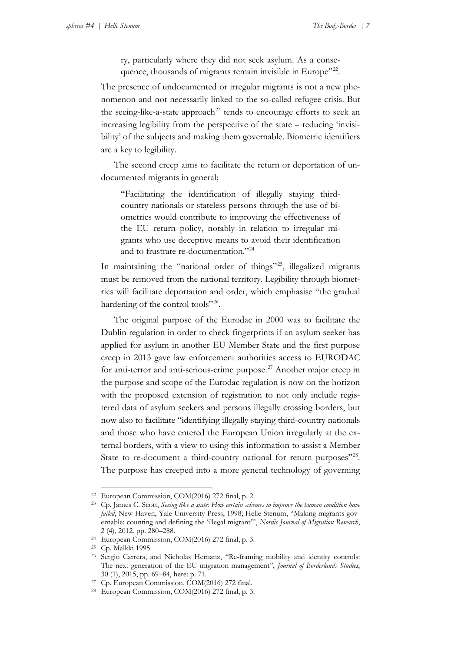ry, particularly where they did not seek asylum. As a consequence, thousands of migrants remain invisible in Europe"<sup>22</sup>.

The presence of undocumented or irregular migrants is not a new phenomenon and not necessarily linked to the so-called refugee crisis. But the seeing-like-a-state approach<sup>[23](#page-7-1)</sup> tends to encourage efforts to seek an increasing legibility from the perspective of the state – reducing 'invisibility' of the subjects and making them governable. Biometric identifiers are a key to legibility.

The second creep aims to facilitate the return or deportation of undocumented migrants in general:

"Facilitating the identification of illegally staying thirdcountry nationals or stateless persons through the use of biometrics would contribute to improving the effectiveness of the EU return policy, notably in relation to irregular migrants who use deceptive means to avoid their identification and to frustrate re-documentation."[24](#page-7-2)

In maintaining the "national order of things"<sup>25</sup>, illegalized migrants must be removed from the national territory. Legibility through biometrics will facilitate deportation and order, which emphasise "the gradual hardening of the control tools"<sup>[26](#page-7-4)</sup>.

The original purpose of the Eurodac in 2000 was to facilitate the Dublin regulation in order to check fingerprints if an asylum seeker has applied for asylum in another EU Member State and the first purpose creep in 2013 gave law enforcement authorities access to EURODAC for anti-terror and anti-serious-crime purpose.<sup>[27](#page-7-5)</sup> Another major creep in the purpose and scope of the Eurodac regulation is now on the horizon with the proposed extension of registration to not only include registered data of asylum seekers and persons illegally crossing borders, but now also to facilitate "identifying illegally staying third-country nationals and those who have entered the European Union irregularly at the external borders, with a view to using this information to assist a Member State to re-document a third-country national for return purposes<sup>"[28](#page-7-6)</sup>. The purpose has creeped into a more general technology of governing

<span id="page-7-0"></span><sup>22</sup> European Commission, COM(2016) 272 final, p. 2.

<span id="page-7-1"></span><sup>23</sup> Cp. James C. Scott, *Seeing like a state: How certain schemes to improve the human condition have failed*, New Haven, Yale University Press, 1998; Helle Stenum, "Making migrants governable: counting and defining the 'illegal migrant'", *Nordic Journal of Migration Research*, 2 (4), 2012, pp. 280–288.

<span id="page-7-2"></span><sup>24</sup> European Commission, COM(2016) 272 final, p. 3.

<span id="page-7-3"></span><sup>25</sup> Cp. Malkki 1995.

<span id="page-7-4"></span><sup>26</sup> Sergio Carrera, and Nicholas Hernanz, "Re-framing mobility and identity controls: The next generation of the EU migration management", *Journal of Borderlands Studies*, 30 (1), 2015, pp. 69–84, here: p. 71.

<span id="page-7-5"></span><sup>27</sup> Cp. European Commission, COM(2016) 272 final. 28 European Commission, COM(2016) 272 final, p. 3.

<span id="page-7-6"></span>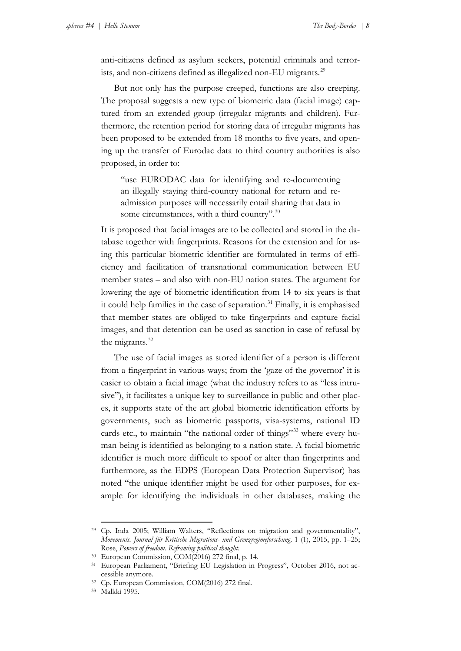anti-citizens defined as asylum seekers, potential criminals and terrorists, and non-citizens defined as illegalized non-EU migrants. [29](#page-8-0)

But not only has the purpose creeped, functions are also creeping. The proposal suggests a new type of biometric data (facial image) captured from an extended group (irregular migrants and children). Furthermore, the retention period for storing data of irregular migrants has been proposed to be extended from 18 months to five years, and opening up the transfer of Eurodac data to third country authorities is also proposed, in order to:

"use EURODAC data for identifying and re-documenting an illegally staying third-country national for return and readmission purposes will necessarily entail sharing that data in some circumstances, with a third country".<sup>[30](#page-8-1)</sup>

It is proposed that facial images are to be collected and stored in the database together with fingerprints. Reasons for the extension and for using this particular biometric identifier are formulated in terms of efficiency and facilitation of transnational communication between EU member states – and also with non-EU nation states. The argument for lowering the age of biometric identification from 14 to six years is that it could help families in the case of separation.<sup>[31](#page-8-2)</sup> Finally, it is emphasised that member states are obliged to take fingerprints and capture facial images, and that detention can be used as sanction in case of refusal by the migrants.<sup>[32](#page-8-3)</sup>

The use of facial images as stored identifier of a person is different from a fingerprint in various ways; from the 'gaze of the governor' it is easier to obtain a facial image (what the industry refers to as "less intrusive"), it facilitates a unique key to surveillance in public and other places, it supports state of the art global biometric identification efforts by governments, such as biometric passports, visa-systems, national ID cards etc., to maintain "the national order of things"<sup>[33](#page-8-4)</sup> where every human being is identified as belonging to a nation state. A facial biometric identifier is much more difficult to spoof or alter than fingerprints and furthermore, as the EDPS (European Data Protection Supervisor) has noted "the unique identifier might be used for other purposes, for example for identifying the individuals in other databases, making the

<span id="page-8-0"></span><sup>29</sup> Cp. Inda 2005; William Walters, "Reflections on migration and governmentality", *Movements. Journal für Kritische Migrations- und Grenzregimeforschung,* 1 (1), 2015, pp. 1–25; Rose, *Powers of freedom. Reframing political thought*.

<sup>30</sup> European Commission, COM(2016) 272 final, p. 14.

<span id="page-8-2"></span><span id="page-8-1"></span><sup>31</sup> European Parliament, "Briefing EU Legislation in Progress", October 2016, not accessible anymore.

<span id="page-8-3"></span><sup>32</sup> Cp. European Commission, COM(2016) 272 final.

<span id="page-8-4"></span><sup>33</sup> Malkki 1995.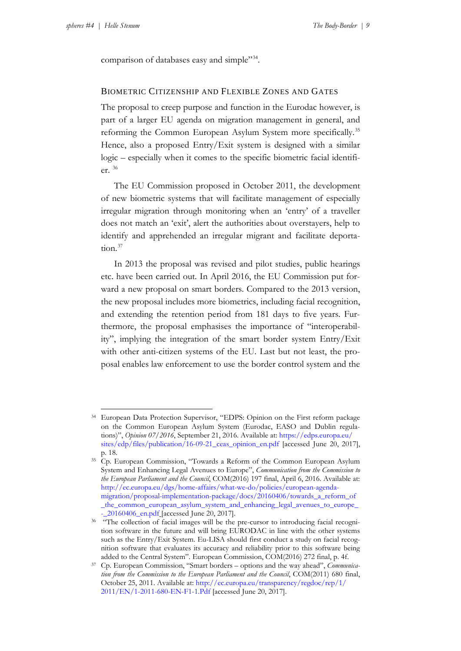comparison of databases easy and simple"[34](#page-9-0).

## BIOMETRIC CITIZENSHIP AND FLEXIBLE ZONES AND GATES

The proposal to creep purpose and function in the Eurodac however, is part of a larger EU agenda on migration management in general, and reforming the Common European Asylum System more specifically.<sup>[35](#page-9-1)</sup> Hence, also a proposed Entry/Exit system is designed with a similar logic – especially when it comes to the specific biometric facial identifier. [36](#page-9-2)

The EU Commission proposed in October 2011, the development of new biometric systems that will facilitate management of especially irregular migration through monitoring when an 'entry' of a traveller does not match an 'exit', alert the authorities about overstayers, help to identify and apprehended an irregular migrant and facilitate deporta-tion.<sup>[37](#page-9-3)</sup>

In 2013 the proposal was revised and pilot studies, public hearings etc. have been carried out. In April 2016, the EU Commission put forward a new proposal on smart borders. Compared to the 2013 version, the new proposal includes more biometrics, including facial recognition, and extending the retention period from 181 days to five years. Furthermore, the proposal emphasises the importance of "interoperability", implying the integration of the smart border system Entry/Exit with other anti-citizen systems of the EU. Last but not least, the proposal enables law enforcement to use the border control system and the

<span id="page-9-0"></span><sup>34</sup> European Data Protection Supervisor, "EDPS: Opinion on the First reform package on the Common European Asylum System (Eurodac, EASO and Dublin regulations)", *Opinion 07/2016*, September 21, 2016. Available at[: https://edps.europa.eu/](https://edps.europa.eu/%0bsites/edp/files/publication/16-09-21_ceas_opinion_en.pdf) [sites/edp/files/publication/16-09-21\\_ceas\\_opinion\\_en.pdf](https://edps.europa.eu/%0bsites/edp/files/publication/16-09-21_ceas_opinion_en.pdf) [accessed June 20, 2017], p. 18.

<span id="page-9-1"></span><sup>&</sup>lt;sup>35</sup> Cp. European Commission, "Towards a Reform of the Common European Asylum System and Enhancing Legal Avenues to Europe", *Communication from the Commission to the European Parliament and the Council*, COM(2016) 197 final, April 6, 2016. Available at: [http://ec.europa.eu/dgs/home-affairs/what-we-do/policies/european-agenda](http://ec.europa.eu/dgs/home-affairs/what-we-do/policies/european-agenda-migration/proposal%1eimplementation%1epackage/docs/20160406/towards_a_reform_of%0b_the_common_european_asylum_system_and_enhancing_legal_avenues_to_europe_-_20160406_en.pdf)[migration/proposal-implementation-package/docs/20160406/towards\\_a\\_reform\\_of](http://ec.europa.eu/dgs/home-affairs/what-we-do/policies/european-agenda-migration/proposal%1eimplementation%1epackage/docs/20160406/towards_a_reform_of%0b_the_common_european_asylum_system_and_enhancing_legal_avenues_to_europe_-_20160406_en.pdf) [\\_the\\_common\\_european\\_asylum\\_system\\_and\\_enhancing\\_legal\\_avenues\\_to\\_europe\\_](http://ec.europa.eu/dgs/home-affairs/what-we-do/policies/european-agenda-migration/proposal%1eimplementation%1epackage/docs/20160406/towards_a_reform_of%0b_the_common_european_asylum_system_and_enhancing_legal_avenues_to_europe_-_20160406_en.pdf) [-\\_20160406\\_en.pdf](http://ec.europa.eu/dgs/home-affairs/what-we-do/policies/european-agenda-migration/proposal%1eimplementation%1epackage/docs/20160406/towards_a_reform_of%0b_the_common_european_asylum_system_and_enhancing_legal_avenues_to_europe_-_20160406_en.pdf) [accessed June 20, 2017].

<span id="page-9-2"></span><sup>&</sup>lt;sup>36</sup> "The collection of facial images will be the pre-cursor to introducing facial recognition software in the future and will bring EURODAC in line with the other systems such as the Entry/Exit System. Eu-LISA should first conduct a study on facial recognition software that evaluates its accuracy and reliability prior to this software being added to the Central System". European Commission, COM(2016) 272 final, p. 4f.

<span id="page-9-3"></span><sup>37</sup> Cp. European Commission, "Smart borders – options and the way ahead", *Communication from the Commission to the European Parliament and the Council*, COM(2011) 680 final, October 25, 2011. Available at: [http://ec.europa.eu/transparency/regdoc/rep/1/](http://ec.europa.eu/transparency/regdoc/rep/1/%0b2011/EN/1-2011-680-EN-F1-1.Pdf) [2011/EN/1-2011-680-EN-F1-1.Pdf](http://ec.europa.eu/transparency/regdoc/rep/1/%0b2011/EN/1-2011-680-EN-F1-1.Pdf) [accessed June 20, 2017].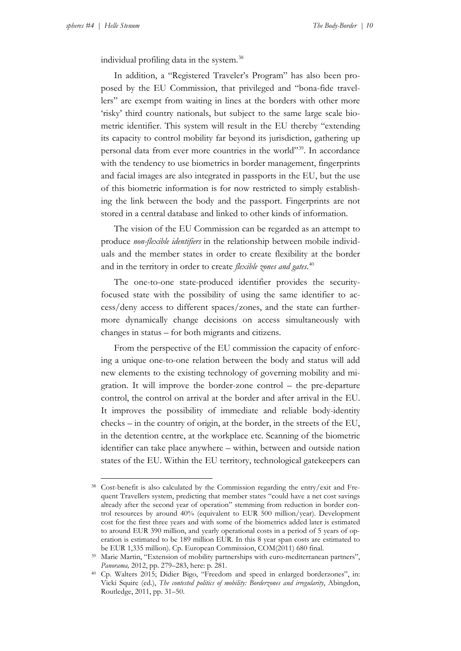individual profiling data in the system.<sup>[38](#page-10-0)</sup>

In addition, a "Registered Traveler's Program" has also been proposed by the EU Commission, that privileged and "bona-fide travellers" are exempt from waiting in lines at the borders with other more 'risky' third country nationals, but subject to the same large scale biometric identifier. This system will result in the EU thereby "extending its capacity to control mobility far beyond its jurisdiction, gathering up personal data from ever more countries in the world"<sup>[39](#page-10-1)</sup>. In accordance with the tendency to use biometrics in border management, fingerprints and facial images are also integrated in passports in the EU, but the use of this biometric information is for now restricted to simply establishing the link between the body and the passport. Fingerprints are not stored in a central database and linked to other kinds of information.

The vision of the EU Commission can be regarded as an attempt to produce *non-flexible identifiers* in the relationship between mobile individuals and the member states in order to create flexibility at the border and in the territory in order to create *flexible zones and gates*. [40](#page-10-2)

The one-to-one state-produced identifier provides the securityfocused state with the possibility of using the same identifier to access/deny access to different spaces/zones, and the state can furthermore dynamically change decisions on access simultaneously with changes in status – for both migrants and citizens.

From the perspective of the EU commission the capacity of enforcing a unique one-to-one relation between the body and status will add new elements to the existing technology of governing mobility and migration. It will improve the border-zone control – the pre-departure control, the control on arrival at the border and after arrival in the EU. It improves the possibility of immediate and reliable body-identity checks – in the country of origin, at the border, in the streets of the EU, in the detention centre, at the workplace etc. Scanning of the biometric identifier can take place anywhere – within, between and outside nation states of the EU. Within the EU territory, technological gatekeepers can

<span id="page-10-0"></span>Cost-benefit is also calculated by the Commission regarding the entry/exit and Frequent Travellers system, predicting that member states "could have a net cost savings already after the second year of operation" stemming from reduction in border control resources by around 40% (equivalent to EUR 500 million/year). Development cost for the first three years and with some of the biometrics added later is estimated to around EUR 390 million, and yearly operational costs in a period of 5 years of operation is estimated to be 189 million EUR. In this 8 year span costs are estimated to be EUR 1,335 million). Cp. European Commission, COM(2011) 680 final.

<span id="page-10-1"></span><sup>39</sup> Marie Martin, "Extension of mobility partnerships with euro-mediterranean partners", *Panorama,* 2012, pp. 279–283, here: p. 281.

<span id="page-10-2"></span><sup>40</sup> Cp. Walters 2015; Didier Bigo, "Freedom and speed in enlarged borderzones", in: Vicki Squire (ed.), *The contested politics of mobility: Borderzones and irregularity*, Abingdon, Routledge, 2011, pp. 31–50.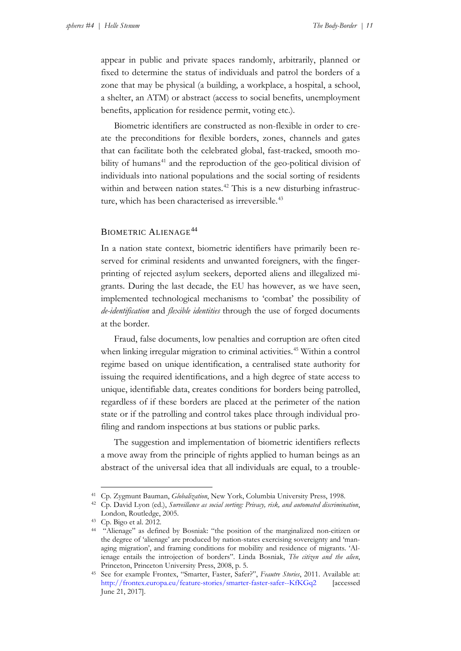appear in public and private spaces randomly, arbitrarily, planned or fixed to determine the status of individuals and patrol the borders of a zone that may be physical (a building, a workplace, a hospital, a school, a shelter, an ATM) or abstract (access to social benefits, unemployment benefits, application for residence permit, voting etc.).

Biometric identifiers are constructed as non-flexible in order to create the preconditions for flexible borders, zones, channels and gates that can facilitate both the celebrated global, fast-tracked, smooth mo-bility of humans<sup>[41](#page-11-0)</sup> and the reproduction of the geo-political division of individuals into national populations and the social sorting of residents within and between nation states.<sup>[42](#page-11-1)</sup> This is a new disturbing infrastructure, which has been characterised as irreversible. [43](#page-11-2)

### BIOMETRIC ALIENAGE<sup>[44](#page-11-3)</sup>

In a nation state context, biometric identifiers have primarily been reserved for criminal residents and unwanted foreigners, with the fingerprinting of rejected asylum seekers, deported aliens and illegalized migrants. During the last decade, the EU has however, as we have seen, implemented technological mechanisms to 'combat' the possibility of *de-identification* and *flexible identities* through the use of forged documents at the border.

Fraud, false documents, low penalties and corruption are often cited when linking irregular migration to criminal activities.<sup>[45](#page-11-4)</sup> Within a control regime based on unique identification, a centralised state authority for issuing the required identifications, and a high degree of state access to unique, identifiable data, creates conditions for borders being patrolled, regardless of if these borders are placed at the perimeter of the nation state or if the patrolling and control takes place through individual profiling and random inspections at bus stations or public parks.

The suggestion and implementation of biometric identifiers reflects a move away from the principle of rights applied to human beings as an abstract of the universal idea that all individuals are equal, to a trouble-

<sup>41</sup> Cp. Zygmunt Bauman, *Globalization*, New York, Columbia University Press, 1998.

<span id="page-11-1"></span><span id="page-11-0"></span><sup>42</sup> Cp. David Lyon (ed.), *Surveillance as social sorting: Privacy, risk, and automated discrimination*, London, Routledge, 2005.

<span id="page-11-2"></span><sup>43</sup> Cp. Bigo et al. 2012.

<span id="page-11-3"></span><sup>44</sup> "Alienage" as defined by Bosniak: "the position of the marginalized non-citizen or the degree of 'alienage' are produced by nation-states exercising sovereignty and 'managing migration', and framing conditions for mobility and residence of migrants. 'Alienage entails the introjection of borders". Linda Bosniak, *The citizen and the alien*, Princeton, Princeton University Press, 2008, p. 5.

<span id="page-11-4"></span><sup>45</sup> See for example Frontex, "Smarter, Faster, Safer?", *Feautre Stories*, 2011. Available at: <http://frontex.europa.eu/feature-stories/smarter-faster-safer--KfKGq2> [accessed June 21, 2017].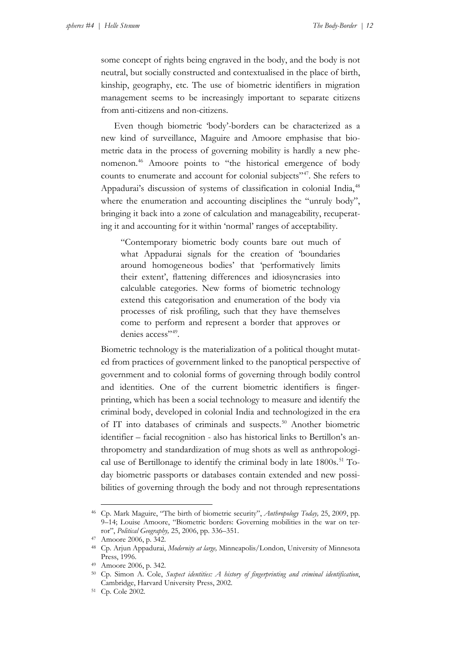some concept of rights being engraved in the body, and the body is not neutral, but socially constructed and contextualised in the place of birth, kinship, geography, etc. The use of biometric identifiers in migration management seems to be increasingly important to separate citizens from anti-citizens and non-citizens.

Even though biometric 'body'-borders can be characterized as a new kind of surveillance, Maguire and Amoore emphasise that biometric data in the process of governing mobility is hardly a new phenomenon.[46](#page-12-0) Amoore points to "the historical emergence of body counts to enumerate and account for colonial subjects"<sup>47</sup>. She refers to Appadurai's discussion of systems of classification in colonial India,<sup>[48](#page-12-2)</sup> where the enumeration and accounting disciplines the "unruly body", bringing it back into a zone of calculation and manageability, recuperating it and accounting for it within 'normal' ranges of acceptability.

"Contemporary biometric body counts bare out much of what Appadurai signals for the creation of 'boundaries around homogeneous bodies' that 'performatively limits their extent', flattening differences and idiosyncrasies into calculable categories. New forms of biometric technology extend this categorisation and enumeration of the body via processes of risk profiling, such that they have themselves come to perform and represent a border that approves or denies access",[49](#page-12-3).

Biometric technology is the materialization of a political thought mutated from practices of government linked to the panoptical perspective of government and to colonial forms of governing through bodily control and identities. One of the current biometric identifiers is fingerprinting, which has been a social technology to measure and identify the criminal body, developed in colonial India and technologized in the era of IT into databases of criminals and suspects. [50](#page-12-4) Another biometric identifier – facial recognition - also has historical links to Bertillon's anthropometry and standardization of mug shots as well as anthropologi-cal use of Bertillonage to identify the criminal body in late 1800s.<sup>[51](#page-12-5)</sup> Today biometric passports or databases contain extended and new possibilities of governing through the body and not through representations

<span id="page-12-0"></span><sup>46</sup> Cp. Mark Maguire, "The birth of biometric security", *Anthropology Today,* 25, 2009, pp. 9–14; Louise Amoore, "Biometric borders: Governing mobilities in the war on terror", *Political Geography,* 25, 2006, pp. 336–351.

<sup>47</sup> Amoore 2006, p. 342.

<span id="page-12-2"></span><span id="page-12-1"></span><sup>48</sup> Cp. Arjun Appadurai, *Modernity at large,* Minneapolis/London, University of Minnesota Press, 1996.

<span id="page-12-3"></span><sup>49</sup> Amoore 2006, p. 342.

<span id="page-12-4"></span><sup>50</sup> Cp. Simon A. Cole, *Suspect identities: A history of fingerprinting and criminal identification*, Cambridge, Harvard University Press, 2002.

<span id="page-12-5"></span><sup>51</sup> Cp. Cole 2002.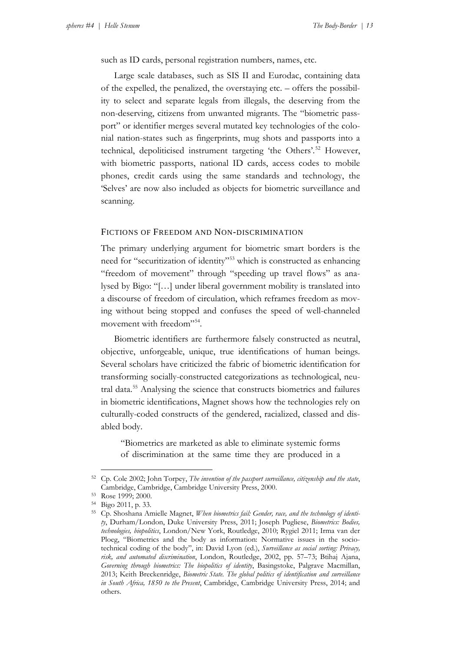such as ID cards, personal registration numbers, names, etc.

Large scale databases, such as SIS II and Eurodac, containing data of the expelled, the penalized, the overstaying etc. – offers the possibility to select and separate legals from illegals, the deserving from the non-deserving, citizens from unwanted migrants. The "biometric passport" or identifier merges several mutated key technologies of the colonial nation-states such as fingerprints, mug shots and passports into a technical, depoliticised instrument targeting 'the Others'.<sup>[52](#page-13-0)</sup> However, with biometric passports, national ID cards, access codes to mobile phones, credit cards using the same standards and technology, the 'Selves' are now also included as objects for biometric surveillance and scanning.

#### FICTIONS OF FREEDOM AND NON-DISCRIMINATION

The primary underlying argument for biometric smart borders is the need for "securitization of identity"[53](#page-13-1) which is constructed as enhancing "freedom of movement" through "speeding up travel flows" as analysed by Bigo: "[…] under liberal government mobility is translated into a discourse of freedom of circulation, which reframes freedom as moving without being stopped and confuses the speed of well-channeled movement with freedom"<sup>[54](#page-13-2)</sup>.

Biometric identifiers are furthermore falsely constructed as neutral, objective, unforgeable, unique, true identifications of human beings. Several scholars have criticized the fabric of biometric identification for transforming socially-constructed categorizations as technological, neutral data.<sup>55</sup> Analysing the science that constructs biometrics and failures in biometric identifications, Magnet shows how the technologies rely on culturally-coded constructs of the gendered, racialized, classed and disabled body.

"Biometrics are marketed as able to eliminate systemic forms of discrimination at the same time they are produced in a

<span id="page-13-0"></span><sup>52</sup> Cp. Cole 2002; John Torpey, *The invention of the passport surveillance, citizenship and the state*, Cambridge, Cambridge, Cambridge University Press, 2000.

<span id="page-13-1"></span><sup>53</sup> Rose 1999; 2000.

<span id="page-13-2"></span><sup>54</sup> Bigo 2011, p. 33.

<span id="page-13-3"></span><sup>55</sup> Cp. Shoshana Amielle Magnet, *When biometrics fail: Gender, race, and the technology of identity*, Durham/London, Duke University Press, 2011; Joseph Pugliese, *Biometrics: Bodies, technologies, biopolitics*, London/New York, Routledge, 2010; Rygiel 2011; Irma van der Ploeg, "Biometrics and the body as information: Normative issues in the sociotechnical coding of the body", in: David Lyon (ed.), *Surveillance as social sorting: Privacy, risk, and automated discrimination*, London, Routledge, 2002, pp. 57–73; Btihaj Ajana, *Governing through biometrics: The biopolitics of identity*, Basingstoke, Palgrave Macmillan, 2013; Keith Breckenridge, *Biometric State. The global politics of identification and surveillance in South Africa, 1850 to the Present*, Cambridge, Cambridge University Press, 2014; and others.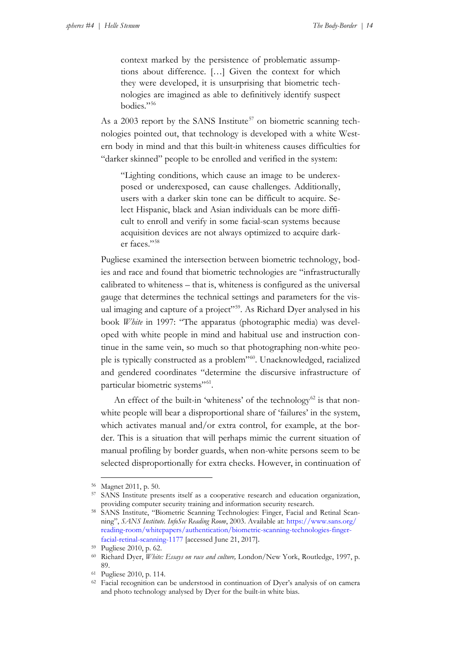context marked by the persistence of problematic assumptions about difference. […] Given the context for which they were developed, it is unsurprising that biometric technologies are imagined as able to definitively identify suspect bodies."[56](#page-14-0)

As a 2003 report by the SANS Institute<sup>[57](#page-14-1)</sup> on biometric scanning technologies pointed out, that technology is developed with a white Western body in mind and that this built-in whiteness causes difficulties for "darker skinned" people to be enrolled and verified in the system:

"Lighting conditions, which cause an image to be underexposed or underexposed, can cause challenges. Additionally, users with a darker skin tone can be difficult to acquire. Select Hispanic, black and Asian individuals can be more difficult to enroll and verify in some facial-scan systems because acquisition devices are not always optimized to acquire darker faces."[58](#page-14-2)

Pugliese examined the intersection between biometric technology, bodies and race and found that biometric technologies are "infrastructurally calibrated to whiteness – that is, whiteness is configured as the universal gauge that determines the technical settings and parameters for the vis-ual imaging and capture of a project"<sup>[59](#page-14-3)</sup>. As Richard Dyer analysed in his book *White* in 1997: "The apparatus (photographic media) was developed with white people in mind and habitual use and instruction continue in the same vein, so much so that photographing non-white people is typically constructed as a problem"[60.](#page-14-4) Unacknowledged, racialized and gendered coordinates "determine the discursive infrastructure of particular biometric systems"<sup>[61](#page-14-5)</sup>.

An effect of the built-in 'whiteness' of the technology<sup>[62](#page-14-6)</sup> is that nonwhite people will bear a disproportional share of 'failures' in the system, which activates manual and/or extra control, for example, at the border. This is a situation that will perhaps mimic the current situation of manual profiling by border guards, when non-white persons seem to be selected disproportionally for extra checks. However, in continuation of

<sup>56</sup> Magnet 2011, p. 50.

<span id="page-14-1"></span><span id="page-14-0"></span><sup>57</sup> SANS Institute presents itself as a cooperative research and education organization, providing computer security training and information security research.

<span id="page-14-2"></span><sup>58</sup> SANS Institute, "Biometric Scanning Technologies: Finger, Facial and Retinal Scanning", *SANS Institute. InfoSec Reading Room*, 2003. Available at: [https://www.sans.org/](https://www.sans.org/%0breading-room/whitepapers/authentication/biometric-scanning-technologies-finger-facial-retinal-scanning-1177) [reading-room/whitepapers/authentication/biometric-scanning-technologies-finger](https://www.sans.org/%0breading-room/whitepapers/authentication/biometric-scanning-technologies-finger-facial-retinal-scanning-1177)[facial-retinal-scanning-1177](https://www.sans.org/%0breading-room/whitepapers/authentication/biometric-scanning-technologies-finger-facial-retinal-scanning-1177) [accessed June 21, 2017].

<sup>59</sup> Pugliese 2010, p. 62.

<span id="page-14-4"></span><span id="page-14-3"></span><sup>60</sup> Richard Dyer, *White: Essays on race and culture,* London/New York, Routledge, 1997, p. 89.

<span id="page-14-5"></span><sup>61</sup> Pugliese 2010, p. 114.

<span id="page-14-6"></span><sup>62</sup> Facial recognition can be understood in continuation of Dyer's analysis of on camera and photo technology analysed by Dyer for the built-in white bias.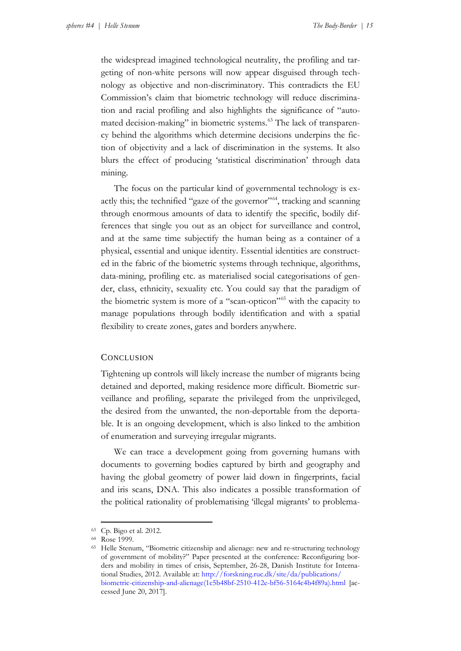the widespread imagined technological neutrality, the profiling and targeting of non-white persons will now appear disguised through technology as objective and non-discriminatory. This contradicts the EU Commission's claim that biometric technology will reduce discrimination and racial profiling and also highlights the significance of "auto-mated decision-making" in biometric systems.<sup>[63](#page-15-0)</sup> The lack of transparency behind the algorithms which determine decisions underpins the fiction of objectivity and a lack of discrimination in the systems. It also blurs the effect of producing 'statistical discrimination' through data mining.

The focus on the particular kind of governmental technology is ex-actly this; the technified "gaze of the governor"<sup>[64](#page-15-1)</sup>, tracking and scanning through enormous amounts of data to identify the specific, bodily differences that single you out as an object for surveillance and control, and at the same time subjectify the human being as a container of a physical, essential and unique identity. Essential identities are constructed in the fabric of the biometric systems through technique, algorithms, data-mining, profiling etc. as materialised social categorisations of gender, class, ethnicity, sexuality etc. You could say that the paradigm of the biometric system is more of a "scan-opticon"<sup>[65](#page-15-2)</sup> with the capacity to manage populations through bodily identification and with a spatial flexibility to create zones, gates and borders anywhere.

#### **CONCLUSION**

Tightening up controls will likely increase the number of migrants being detained and deported, making residence more difficult. Biometric surveillance and profiling, separate the privileged from the unprivileged, the desired from the unwanted, the non-deportable from the deportable. It is an ongoing development, which is also linked to the ambition of enumeration and surveying irregular migrants.

We can trace a development going from governing humans with documents to governing bodies captured by birth and geography and having the global geometry of power laid down in fingerprints, facial and iris scans, DNA. This also indicates a possible transformation of the political rationality of problematising 'illegal migrants' to problema-

<span id="page-15-0"></span><sup>63</sup> Cp. Bigo et al. 2012.

<span id="page-15-1"></span><sup>64</sup> Rose 1999.

<span id="page-15-2"></span><sup>65</sup> Helle Stenum, "Biometric citizenship and alienage: new and re-structuring technology of government of mobility?" Paper presented at the conference: Reconfiguring borders and mobility in times of crisis, September, 26-28, Danish Institute for International Studies, 2012. Available at: [http://forskning.ruc.dk/site/da/publications/](http://forskning.ruc.dk/site/da/publications/%0bbiometric-citizenship-and-alienage(1c5b48bf-2510-412e-bf56-5164c4b4f89a).html) [biometric-citizenship-and-alienage\(1c5b48bf-2510-412e-bf56-5164c4b4f89a\).html](http://forskning.ruc.dk/site/da/publications/%0bbiometric-citizenship-and-alienage(1c5b48bf-2510-412e-bf56-5164c4b4f89a).html) [accessed June 20, 2017].